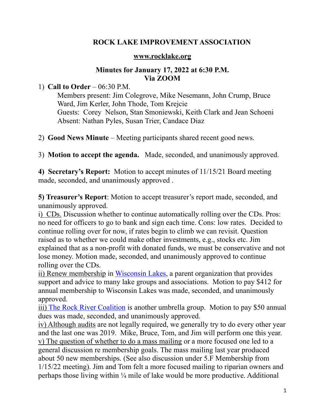### **ROCK LAKE IMPROVEMENT ASSOCIATION**

#### **[www.rocklake.org](http://www.rocklake.org/)**

#### **Minutes for January 17, 2022 at 6:30 P.M. Via ZOOM**

### 1) **Call to Order** – 06:30 P.M.

Members present: Jim Colegrove, Mike Nesemann, John Crump, Bruce Ward, Jim Kerler, John Thode, Tom Krejcie Guests: Corey Nelson, Stan Smoniewski, Keith Clark and Jean Schoeni Absent: Nathan Pyles, Susan Trier, Candace Diaz

2) **Good News Minute** – Meeting participants shared recent good news.

3) **Motion to accept the agenda.** Made, seconded, and unanimously approved.

**4) Secretary's Report:** Motion to accept minutes of 11/15/21 Board meeting made, seconded, and unanimously approved .

**5) Treasurer's Report**: Motion to accept treasurer's report made, seconded, and unanimously approved.

i) CDs. Discussion whether to continue automatically rolling over the CDs. Pros: no need for officers to go to bank and sign each time. Cons: low rates. Decided to continue rolling over for now, if rates begin to climb we can revisit. Question raised as to whether we could make other investments, e.g., stocks etc. Jim explained that as a non-profit with donated funds, we must be conservative and not lose money. Motion made, seconded, and unanimously approved to continue rolling over the CDs.

ii) Renew membership in [Wisconsin Lakes,](https://wisconsinlakes.org/) a parent organization that provides support and advice to many lake groups and associations. Motion to pay \$412 for annual membership to Wisconsin Lakes was made, seconded, and unanimously approved.

iii) [The Rock River Coalition](https://rockrivercoalition.org/) is another umbrella group. Motion to pay \$50 annual dues was made, seconded, and unanimously approved.

iv) Although audits are not legally required, we generally try to do every other year and the last one was 2019. Mike, Bruce, Tom, and Jim will perform one this year. v) The question of whether to do a mass mailing or a more focused one led to a general discussion re membership goals. The mass mailing last year produced about 50 new memberships. (See also discussion under 5.F Membership from 1/15/22 meeting). Jim and Tom felt a more focused mailing to riparian owners and perhaps those living within ¼ mile of lake would be more productive. Additional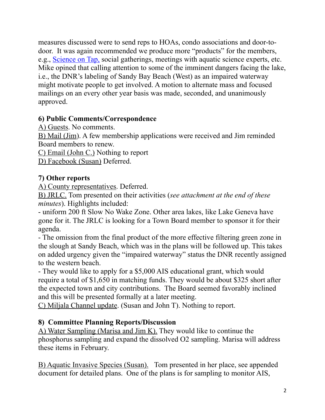measures discussed were to send reps to HOAs, condo associations and door-todoor. It was again recommended we produce more "products" for the members, e.g., [Science on Tap,](http://www.scienceontapminocqua.org/) social gatherings, meetings with aquatic science experts, etc. Mike opined that calling attention to some of the imminent dangers facing the lake, i.e., the DNR's labeling of Sandy Bay Beach (West) as an impaired waterway might motivate people to get involved. A motion to alternate mass and focused mailings on an every other year basis was made, seconded, and unanimously approved.

## **6) Public Comments/Correspondence**

A) Guests. No comments.

B) Mail (Jim). A few membership applications were received and Jim reminded Board members to renew.

C) Email (John C.) Nothing to report

D) Facebook (Susan) Deferred.

### **7) Other reports**

A) County representatives. Deferred.

B) JRLC. Tom presented on their activities (*see attachment at the end of these minutes*). Highlights included:

- uniform 200 ft Slow No Wake Zone. Other area lakes, like Lake Geneva have gone for it. The JRLC is looking for a Town Board member to sponsor it for their agenda.

- The omission from the final product of the more effective filtering green zone in the slough at Sandy Beach, which was in the plans will be followed up. This takes on added urgency given the "impaired waterway" status the DNR recently assigned to the western beach.

- They would like to apply for a \$5,000 AIS educational grant, which would require a total of \$1,650 in matching funds. They would be about \$325 short after the expected town and city contributions. The Board seemed favorably inclined and this will be presented formally at a later meeting.

C) Miljala Channel update. (Susan and John T). Nothing to report.

## **8) Committee Planning Reports/Discussion**

A) Water Sampling (Marisa and Jim K). They would like to continue the phosphorus sampling and expand the dissolved O2 sampling. Marisa will address these items in February.

B) Aquatic Invasive Species (Susan).Tom presented in her place, see appended document for detailed plans. One of the plans is for sampling to monitor AIS,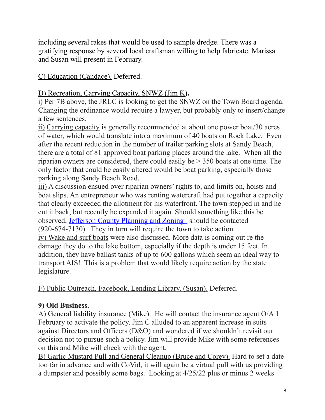including several rakes that would be used to sample dredge. There was a gratifying response by several local craftsman willing to help fabricate. Marissa and Susan will present in February.

C) Education (Candace). Deferred.

# D) Recreation, Carrying Capacity, SNWZ (Jim K**).**

i) Per 7B above, the JRLC is looking to get the SNWZ on the Town Board agenda. Changing the ordinance would require a lawyer, but probably only to insert/change a few sentences.

ii) Carrying capacity is generally recommended at about one power boat/30 acres of water, which would translate into a maximum of 40 boats on Rock Lake. Even after the recent reduction in the number of trailer parking slots at Sandy Beach, there are a total of 81 approved boat parking places around the lake. When all the riparian owners are considered, there could easily be > 350 boats at one time. The only factor that could be easily altered would be boat parking, especially those parking along Sandy Beach Road.

iii) A discussion ensued over riparian owners' rights to, and limits on, hoists and boat slips. An entrepreneur who was renting watercraft had put together a capacity that clearly exceeded the allotment for his waterfront. The town stepped in and he cut it back, but recently he expanded it again. Should something like this be observed, [Jefferson County Planning and Zoning](https://www.jeffersoncountywi.gov/departments/planning_and_zoning/index.php) should be contacted (920-674-7130). They in turn will require the town to take action. iv) Wake and surf boats were also discussed. More data is coming out re the damage they do to the lake bottom, especially if the depth is under 15 feet. In

addition, they have ballast tanks of up to 600 gallons which seem an ideal way to transport AIS! This is a problem that would likely require action by the state legislature.

F) Public Outreach, Facebook, Lending Library. (Susan). Deferred.

# **9) Old Business.**

A) General liability insurance (Mike). He will contact the insurance agent O/A 1 February to activate the policy. Jim C alluded to an apparent increase in suits against Directors and Officers (D&O) and wondered if we shouldn't revisit our decision not to pursue such a policy. Jim will provide Mike with some references on this and Mike will check with the agent.

B) Garlic Mustard Pull and General Cleanup (Bruce and Corey). Hard to set a date too far in advance and with CoVid, it will again be a virtual pull with us providing a dumpster and possibly some bags. Looking at 4/25/22 plus or minus 2 weeks